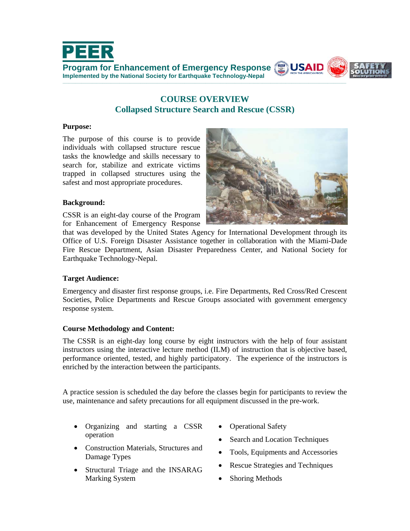

# **COURSE OVERVIEW Collapsed Structure Search and Rescue (CSSR)**

#### **Purpose:**

The purpose of this course is to provide individuals with collapsed structure rescue tasks the knowledge and skills necessary to search for, stabilize and extricate victims trapped in collapsed structures using the safest and most appropriate procedures.



## **Background:**

CSSR is an eight-day course of the Program for Enhancement of Emergency Response

that was developed by the United States Agency for International Development through its Office of U.S. Foreign Disaster Assistance together in collaboration with the Miami-Dade Fire Rescue Department, Asian Disaster Preparedness Center, and National Society for Earthquake Technology-Nepal.

### **Target Audience:**

Emergency and disaster first response groups, i.e. Fire Departments, Red Cross/Red Crescent Societies, Police Departments and Rescue Groups associated with government emergency response system.

### **Course Methodology and Content:**

The CSSR is an eight-day long course by eight instructors with the help of four assistant instructors using the interactive lecture method (ILM) of instruction that is objective based, performance oriented, tested, and highly participatory. The experience of the instructors is enriched by the interaction between the participants.

A practice session is scheduled the day before the classes begin for participants to review the use, maintenance and safety precautions for all equipment discussed in the pre-work.

- Organizing and starting a CSSR operation
- Construction Materials, Structures and Damage Types
- Structural Triage and the INSARAG Marking System
- Operational Safety
- Search and Location Techniques
- Tools, Equipments and Accessories
- Rescue Strategies and Techniques
- Shoring Methods